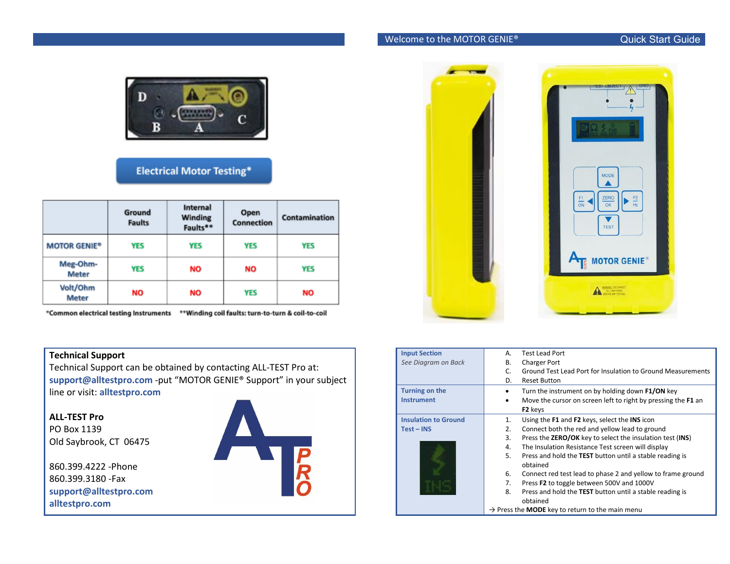## Welcome to the MOTOR GENIE®



## **Electrical Motor Testing\***

|                          | Ground<br><b>Faults</b> | Internal<br><b>Winding</b><br>Faults** | Open<br><b>Connection</b> | Contamination |
|--------------------------|-------------------------|----------------------------------------|---------------------------|---------------|
| <b>MOTOR GENIE®</b>      | <b>YES</b>              | <b>YES</b>                             | <b>YES</b>                | <b>YES</b>    |
| Meg-Ohm-<br><b>Meter</b> | YES                     | <b>NO</b>                              | ΝO                        | <b>YES</b>    |
| Volt/Ohm<br><b>Meter</b> | NO                      | ΝO                                     | <b>YES</b>                | <b>NO</b>     |

\*Common electrical testing Instruments \*\*Winding coil faults: turn-to-turn & coil-to-coil

## **Technical Support**

Technical Support can be obtained by contacting ALL-TEST Pro at: **support@alltestpro.com** -put "MOTOR GENIE® Support" in your subject line or visit: **alltestpro.com**

**ALL-TEST Pro** PO Box 1139 Old Saybrook, CT 06475

860.399.4222 -Phone 860.399.3180 -Fax **support@alltestpro.com alltestpro.com**





| <b>Input Section</b>        | <b>Test Lead Port</b><br>А.                                            |
|-----------------------------|------------------------------------------------------------------------|
| See Diagram on Back         | B.<br><b>Charger Port</b>                                              |
|                             | Ground Test Lead Port for Insulation to Ground Measurements<br>C.      |
|                             | <b>Reset Button</b><br>D.                                              |
| Turning on the              | Turn the instrument on by holding down F1/ON key                       |
| <b>Instrument</b>           | Move the cursor on screen left to right by pressing the F1 an          |
|                             | F <sub>2</sub> keys                                                    |
| <b>Insulation to Ground</b> | Using the F1 and F2 keys, select the INS icon<br>1.                    |
| $Test - INS$                | Connect both the red and yellow lead to ground<br>2.                   |
|                             | Press the <b>ZERO/OK</b> key to select the insulation test (INS)<br>3. |
|                             | The Insulation Resistance Test screen will display<br>4.               |
|                             | 5.<br>Press and hold the TEST button until a stable reading is         |
|                             | obtained                                                               |
|                             | Connect red test lead to phase 2 and yellow to frame ground<br>6.      |
|                             | Press F2 to toggle between 500V and 1000V<br>7.                        |
|                             | Press and hold the TEST button until a stable reading is<br>8.         |
|                             | obtained                                                               |
|                             | $\rightarrow$ Press the <b>MODE</b> key to return to the main menu     |